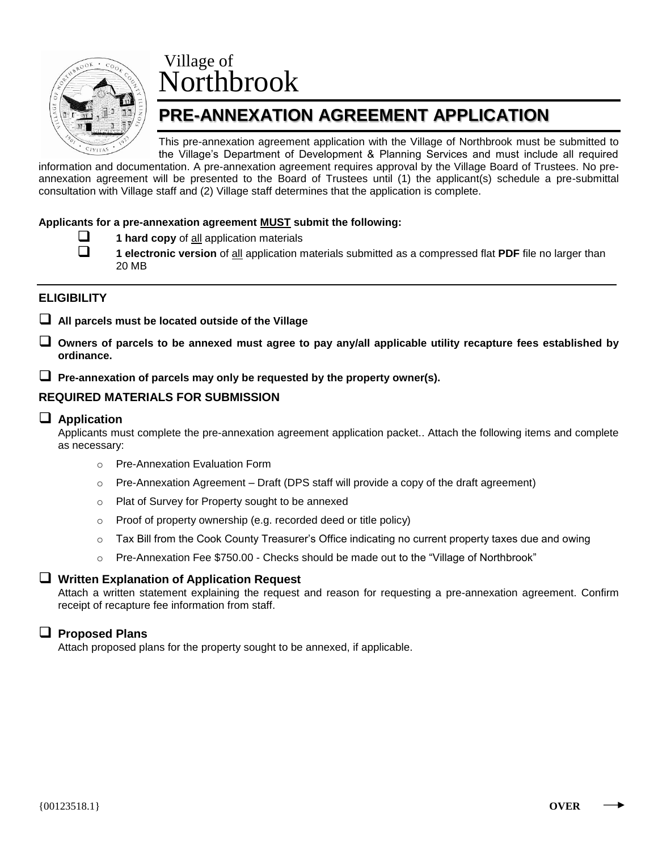

# Village of Northbrook

## **PRE-ANNEXATION AGREEMENT APPLICATION**

This pre-annexation agreement application with the Village of Northbrook must be submitted to the Village's Department of Development & Planning Services and must include all required

information and documentation. A pre-annexation agreement requires approval by the Village Board of Trustees. No preannexation agreement will be presented to the Board of Trustees until (1) the applicant(s) schedule a pre-submittal consultation with Village staff and (2) Village staff determines that the application is complete.

#### **Applicants for a pre-annexation agreement MUST submit the following:**

- **1 hard copy** of all application materials
- 

 **1 electronic version** of all application materials submitted as a compressed flat **PDF** file no larger than 20 MB

#### **ELIGIBILITY**

- **All parcels must be located outside of the Village**
- **Owners of parcels to be annexed must agree to pay any/all applicable utility recapture fees established by ordinance.**
- **Pre-annexation of parcels may only be requested by the property owner(s).**

#### **REQUIRED MATERIALS FOR SUBMISSION**

#### **Application**

Applicants must complete the pre-annexation agreement application packet.. Attach the following items and complete as necessary:

- o Pre-Annexation Evaluation Form
- $\circ$  Pre-Annexation Agreement Draft (DPS staff will provide a copy of the draft agreement)
- o Plat of Survey for Property sought to be annexed
- o Proof of property ownership (e.g. recorded deed or title policy)
- o Tax Bill from the Cook County Treasurer's Office indicating no current property taxes due and owing
- $\circ$  Pre-Annexation Fee \$750.00 Checks should be made out to the "Village of Northbrook"

#### **Written Explanation of Application Request**

Attach a written statement explaining the request and reason for requesting a pre-annexation agreement. Confirm receipt of recapture fee information from staff.

#### **Proposed Plans**

Attach proposed plans for the property sought to be annexed, if applicable.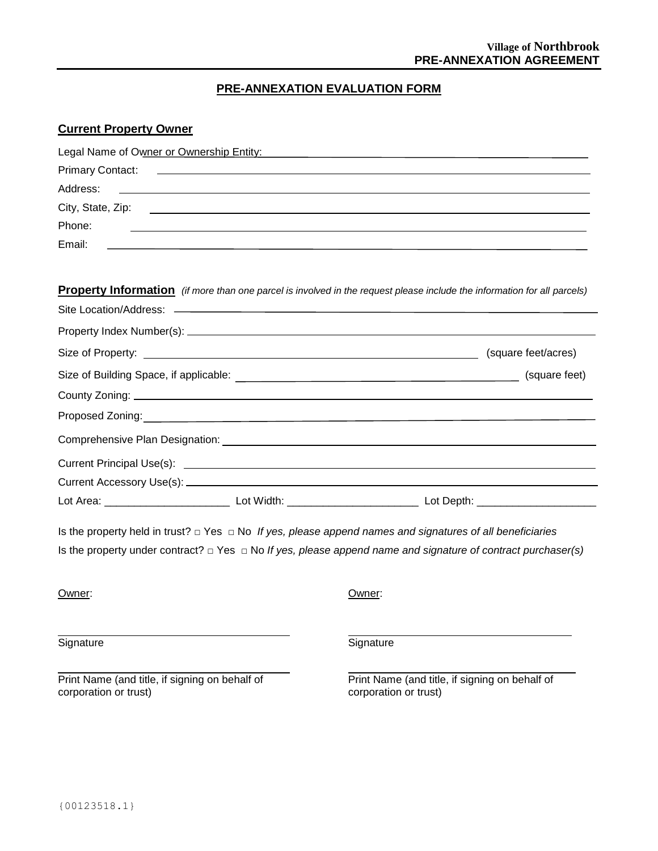### **PRE-ANNEXATION EVALUATION FORM**

#### **Current Property Owner**

| Legal Name of Owner or Ownership Entity:                                                                                  |                                                                                                                                 |
|---------------------------------------------------------------------------------------------------------------------------|---------------------------------------------------------------------------------------------------------------------------------|
| <b>Primary Contact:</b>                                                                                                   |                                                                                                                                 |
| Address:                                                                                                                  |                                                                                                                                 |
|                                                                                                                           |                                                                                                                                 |
| Phone:                                                                                                                    |                                                                                                                                 |
| Email:                                                                                                                    |                                                                                                                                 |
|                                                                                                                           | <b>Property Information</b> (if more than one parcel is involved in the request please include the information for all parcels) |
|                                                                                                                           |                                                                                                                                 |
|                                                                                                                           |                                                                                                                                 |
|                                                                                                                           |                                                                                                                                 |
|                                                                                                                           | Size of Building Space, if applicable:  Size of Building Space, if applicable:                                                  |
|                                                                                                                           |                                                                                                                                 |
| Proposed Zoning: <u>Communication of the Communication</u> of the Communication of the Communication of the Communication |                                                                                                                                 |
|                                                                                                                           |                                                                                                                                 |
|                                                                                                                           |                                                                                                                                 |
|                                                                                                                           |                                                                                                                                 |
|                                                                                                                           |                                                                                                                                 |
| Is the property held in trust? $\Box$ Yes $\Box$ No If yes, please append names and signatures of all beneficiaries       |                                                                                                                                 |
|                                                                                                                           | Is the property under contract? $\Box$ Yes $\Box$ No If yes, please append name and signature of contract purchaser(s)          |
| Owner:                                                                                                                    | Owner:                                                                                                                          |
| Signature                                                                                                                 | Signature                                                                                                                       |
| Print Name (and title, if signing on behalf of<br>corporation or trust)                                                   | Print Name (and title, if signing on behalf of<br>corporation or trust)                                                         |